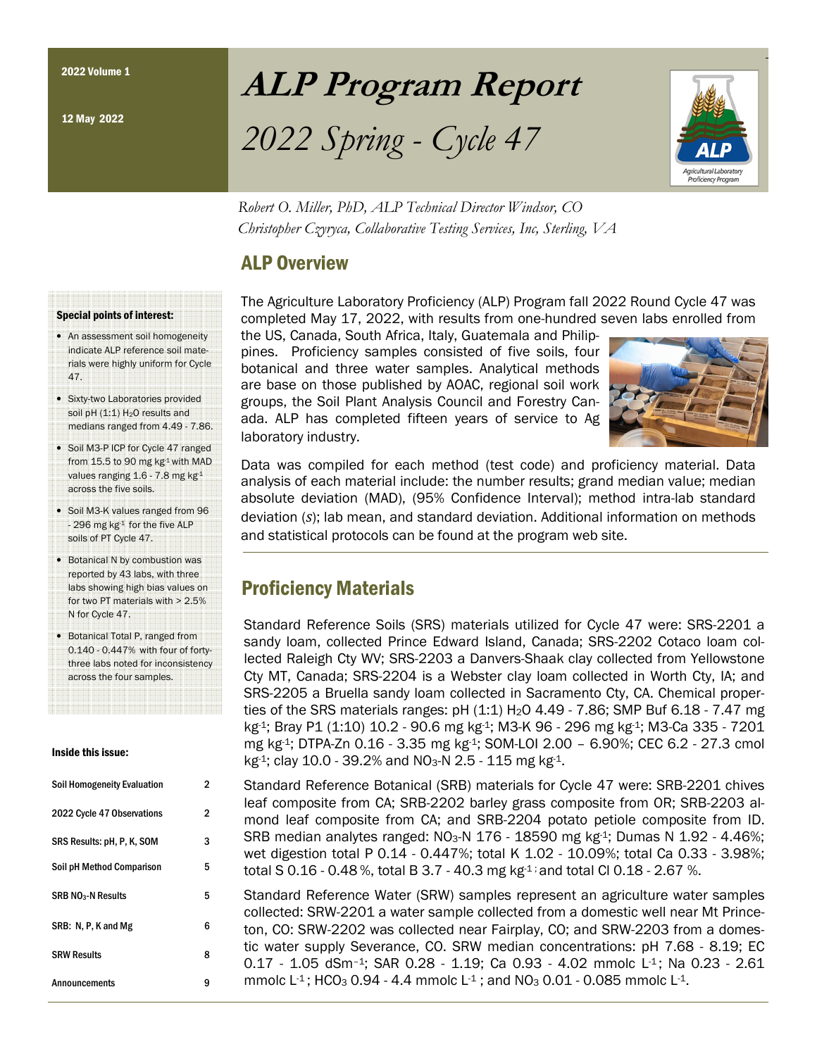## ALP Program Report

# 2022 Spring - Cycle 47



Robert O. Miller, PhD, ALP Technical Director Windsor, CO Christopher Czyryca, Collaborative Testing Services, Inc, Sterling, VA

## ALP Overview

The Agriculture Laboratory Proficiency (ALP) Program fall 2022 Round Cycle 47 was completed May 17, 2022, with results from one-hundred seven labs enrolled from

the US, Canada, South Africa, Italy, Guatemala and Philippines. Proficiency samples consisted of five soils, four botanical and three water samples. Analytical methods are base on those published by AOAC, regional soil work groups, the Soil Plant Analysis Council and Forestry Canada. ALP has completed fifteen years of service to Ag laboratory industry.



Data was compiled for each method (test code) and proficiency material. Data analysis of each material include: the number results; grand median value; median absolute deviation (MAD), (95% Confidence Interval); method intra-lab standard deviation  $(s)$ ; lab mean, and standard deviation. Additional information on methods and statistical protocols can be found at the program web site.

## Proficiency Materials

Standard Reference Soils (SRS) materials utilized for Cycle 47 were: SRS-2201 a sandy loam, collected Prince Edward Island, Canada; SRS-2202 Cotaco loam collected Raleigh Cty WV; SRS-2203 a Danvers-Shaak clay collected from Yellowstone Cty MT, Canada; SRS-2204 is a Webster clay loam collected in Worth Cty, IA; and SRS-2205 a Bruella sandy loam collected in Sacramento Cty, CA. Chemical properties of the SRS materials ranges:  $pH (1:1) H<sub>2</sub>O 4.49 - 7.86$ ; SMP Buf 6.18 - 7.47 mg kg-1; Bray P1 (1:10) 10.2 - 90.6 mg kg-1; M3-K 96 - 296 mg kg-1; M3-Ca 335 - 7201 mg kg-1; DTPA-Zn 0.16 - 3.35 mg kg-1; SOM-LOI 2.00 – 6.90%; CEC 6.2 - 27.3 cmol  $kg<sup>1</sup>$ ; clay 10.0 - 39.2% and NO<sub>3</sub>-N 2.5 - 115 mg kg<sup>-1</sup>.

Standard Reference Botanical (SRB) materials for Cycle 47 were: SRB-2201 chives leaf composite from CA; SRB-2202 barley grass composite from OR; SRB-2203 almond leaf composite from CA; and SRB-2204 potato petiole composite from ID. SRB median analytes ranged: NO<sub>3</sub>-N 176 - 18590 mg kg<sup>-1</sup>; Dumas N 1.92 - 4.46%; wet digestion total P 0.14 - 0.447%; total K 1.02 - 10.09%; total Ca 0.33 - 3.98%; total S 0.16 - 0.48 %, total B 3.7 - 40.3 mg kg-1 ; and total Cl 0.18 - 2.67 %.

Standard Reference Water (SRW) samples represent an agriculture water samples collected: SRW-2201 a water sample collected from a domestic well near Mt Princeton, CO: SRW-2202 was collected near Fairplay, CO; and SRW-2203 from a domestic water supply Severance, CO. SRW median concentrations: pH 7.68 - 8.19; EC 0.17 - 1.05 dSm<sup>-1</sup>; SAR 0.28 - 1.19; Ca 0.93 - 4.02 mmolc L<sup>1</sup>; Na 0.23 - 2.61 mmolc L<sup>-1</sup>; HCO<sub>3</sub> 0.94 - 4.4 mmolc L<sup>-1</sup>; and NO<sub>3</sub> 0.01 - 0.085 mmolc L<sup>-1</sup>.

#### Special points of interest:

- An assessment soil homogeneity indicate ALP reference soil materials were highly uniform for Cycle 47.
- Sixty-two Laboratories provided soil pH $(1:1)$  H<sub>2</sub>O results and medians ranged from 4.49 - 7.86.
- Soil M3-P ICP for Cycle 47 ranged from 15.5 to 90 mg kg<sup>1</sup> with MAD values ranging 1.6 - 7.8 mg kg-1 across the five soils.
- Soil M3-K values ranged from 96 - 296 mg kg-1 for the five ALP soils of PT Cycle 47.
- Botanical N by combustion was reported by 43 labs, with three labs showing high bias values on for two PT materials with > 2.5% N for Cycle 47.
- Botanical Total P, ranged from 0.140 - 0.447% with four of fortythree labs noted for inconsistency across the four samples.

#### Inside this issue:

| Soil Homogeneity Evaluation | $\overline{2}$ |
|-----------------------------|----------------|
| 2022 Cycle 47 Observations  | 2              |
| SRS Results: pH, P, K, SOM  | 3              |
| Soil pH Method Comparison   | 5              |
| <b>SRB NO3-N Results</b>    | 5              |
| SRB: N, P, K and Mg         | 6              |
| <b>SRW Results</b>          | 8              |
| Announcements               | 9              |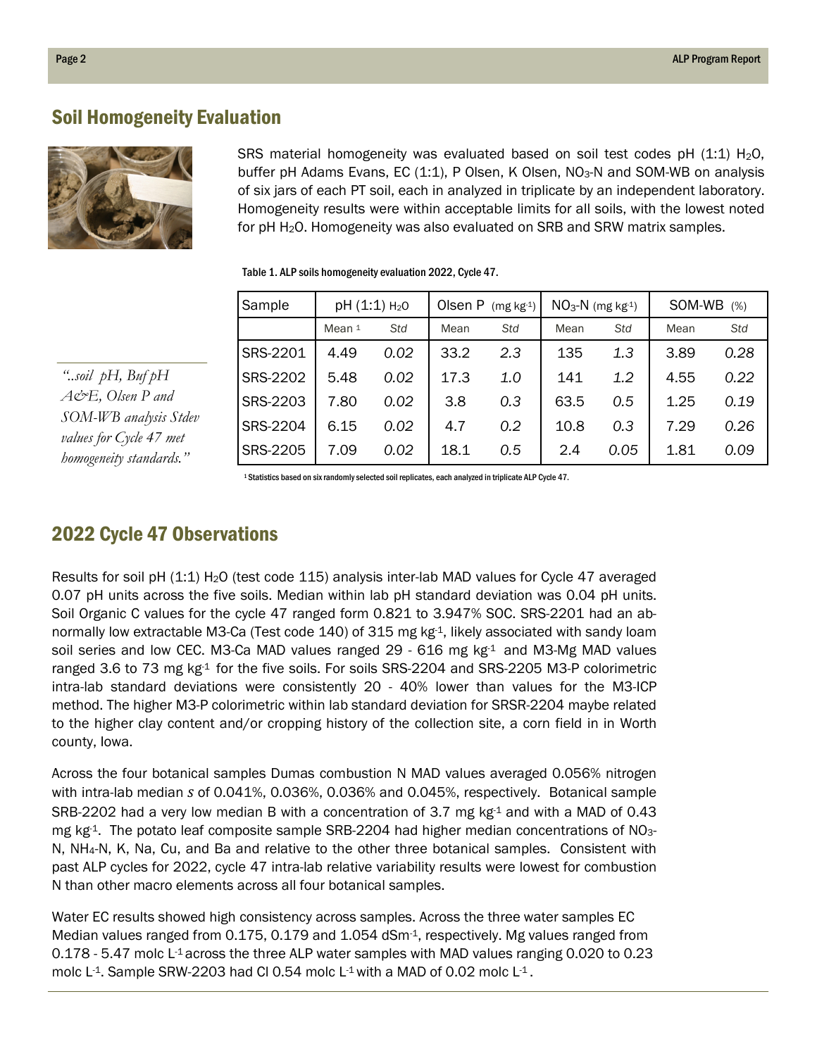#### Soil Homogeneity Evaluation



"..soil pH, Buf pH A&E, Olsen P and SOM-WB analysis Stdev values for Cycle 47 met homogeneity standards."

SRS material homogeneity was evaluated based on soil test codes pH  $(1:1)$  H<sub>2</sub>O, buffer pH Adams Evans, EC  $(1:1)$ , P Olsen, K Olsen, NO<sub>3</sub>-N and SOM-WB on analysis of six jars of each PT soil, each in analyzed in triplicate by an independent laboratory. Homogeneity results were within acceptable limits for all soils, with the lowest noted for pH H2O. Homogeneity was also evaluated on SRB and SRW matrix samples.

| Sample          | pH (1:1) H <sub>2</sub> O |      | Olsen P<br>(mg kg-1) |     | $NO3-N$ (mg kg-1) |      | SOM-WB<br>(% ) |      |
|-----------------|---------------------------|------|----------------------|-----|-------------------|------|----------------|------|
|                 | Mean 1                    | Std  | Mean                 | Std | Mean              | Std  | Mean           | Std  |
| SRS-2201        | 4.49                      | 0.02 | 33.2                 | 2.3 | 135               | 1.3  | 3.89           | 0.28 |
| SRS-2202        | 5.48                      | 0.02 | 17.3                 | 1.0 | 141               | 1.2  | 4.55           | 0.22 |
| <b>SRS-2203</b> | 7.80                      | 0.02 | 3.8                  | 0.3 | 63.5              | 0.5  | 1.25           | 0.19 |
| <b>SRS-2204</b> | 6.15                      | 0.02 | 4.7                  | 0.2 | 10.8              | 0.3  | 7.29           | 0.26 |
| <b>SRS-2205</b> | 7.09                      | 0.02 | 18.1                 | 0.5 | 2.4               | 0.05 | 1.81           | 0.09 |

Table 1. ALP soils homogeneity evaluation 2022, Cycle 47.

<sup>1</sup>Statistics based on six randomly selected soil replicates, each analyzed in triplicate ALP Cycle 47.

### 2022 Cycle 47 Observations

Results for soil pH (1:1) H2O (test code 115) analysis inter-lab MAD values for Cycle 47 averaged 0.07 pH units across the five soils. Median within lab pH standard deviation was 0.04 pH units. Soil Organic C values for the cycle 47 ranged form 0.821 to 3.947% SOC. SRS-2201 had an abnormally low extractable M3-Ca (Test code 140) of 315 mg kg-1, likely associated with sandy loam soil series and low CEC. M3-Ca MAD values ranged 29 - 616 mg kg-1 and M3-Mg MAD values ranged 3.6 to 73 mg  $kg<sup>1</sup>$  for the five soils. For soils SRS-2204 and SRS-2205 M3-P colorimetric intra-lab standard deviations were consistently 20 - 40% lower than values for the M3-ICP method. The higher M3-P colorimetric within lab standard deviation for SRSR-2204 maybe related to the higher clay content and/or cropping history of the collection site, a corn field in in Worth county, Iowa.

Across the four botanical samples Dumas combustion N MAD values averaged 0.056% nitrogen with intra-lab median s of 0.041%, 0.036%, 0.036% and 0.045%, respectively. Botanical sample SRB-2202 had a very low median B with a concentration of 3.7 mg  $kg<sup>1</sup>$  and with a MAD of 0.43 mg kg<sup>-1</sup>. The potato leaf composite sample SRB-2204 had higher median concentrations of NO<sub>3</sub>-N, NH4-N, K, Na, Cu, and Ba and relative to the other three botanical samples. Consistent with past ALP cycles for 2022, cycle 47 intra-lab relative variability results were lowest for combustion N than other macro elements across all four botanical samples.

Water EC results showed high consistency across samples. Across the three water samples EC Median values ranged from 0.175, 0.179 and 1.054 dSm<sup>-1</sup>, respectively. Mg values ranged from 0.178 - 5.47 molc L-1 across the three ALP water samples with MAD values ranging 0.020 to 0.23 molc  $L$ <sup>1</sup>. Sample SRW-2203 had CI 0.54 molc  $L$ <sup>1</sup> with a MAD of 0.02 molc  $L$ <sup>1</sup>.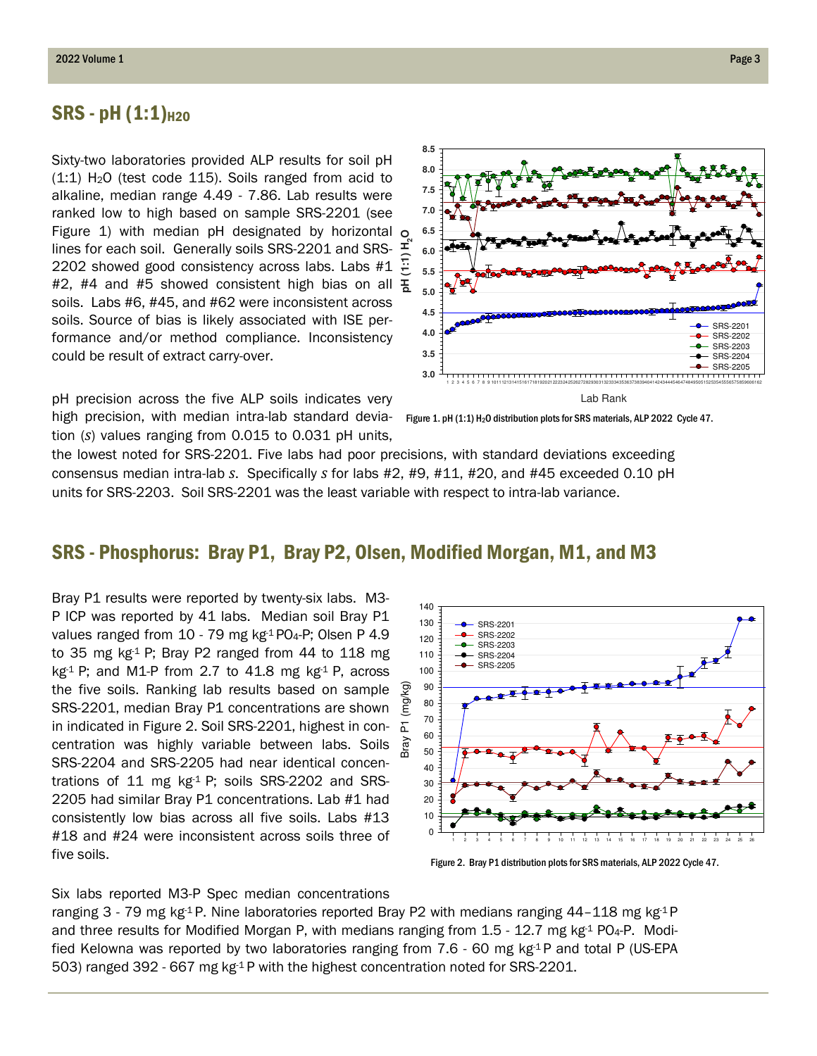#### $SRS - pH (1:1)_{H2O}$

Sixty-two laboratories provided ALP results for soil pH  $(1:1)$  H<sub>2</sub>O (test code 115). Soils ranged from acid to alkaline, median range 4.49 - 7.86. Lab results were ranked low to high based on sample SRS-2201 (see Figure 1) with median pH designated by horizontal lines for each soil. Generally soils SRS-2201 and SRS-2202 showed good consistency across labs. Labs #1 lines for each soil. Generally soils SRS-2201 and SRS-  $\frac{1}{2}$ <br>2202 showed good consistency across labs. Labs #1  $\frac{1}{2}$ <br>#2, #4 and #5 showed consistent high bias on all  $\frac{1}{6}$ soils. Labs #6, #45, and #62 were inconsistent across soils. Source of bias is likely associated with ISE performance and/or method compliance. Inconsistency could be result of extract carry-over.

pH precision across the five ALP soils indicates very high precision, with median intra-lab standard devia- Figure 1. pH (1:1) H<sub>2</sub>O distribution plots for SRS materials, ALP 2022 Cycle 47. tion (s) values ranging from 0.015 to 0.031 pH units,

the lowest noted for SRS-2201. Five labs had poor precisions, with standard deviations exceeding consensus median intra-lab s. Specifically s for labs  $#2, #9, #11, #20,$  and  $#45$  exceeded 0.10 pH units for SRS-2203. Soil SRS-2201 was the least variable with respect to intra-lab variance.

#### SRS - Phosphorus: Bray P1, Bray P2, Olsen, Modified Morgan, M1, and M3

Bray P1 results were reported by twenty-six labs. M3- P ICP was reported by 41 labs. Median soil Bray P1 values ranged from 10 - 79 mg kg-1 PO<sub>4</sub>-P; Olsen P 4.9 to 35 mg  $kg<sup>1</sup>$  P; Bray P2 ranged from 44 to 118 mg  $kg<sup>1</sup>$  P; and M1-P from 2.7 to 41.8 mg  $kg<sup>1</sup>$  P, across the five soils. Ranking lab results based on sample SRS-2201, median Bray P1 concentrations are shown in indicated in Figure 2. Soil SRS-2201, highest in concentration was highly variable between labs. Soils SRS-2204 and SRS-2205 had near identical concentrations of 11 mg  $kg<sup>-1</sup>$  P; soils SRS-2202 and SRS-2205 had similar Bray P1 concentrations. Lab #1 had consistently low bias across all five soils. Labs #13 #18 and #24 were inconsistent across soils three of five soils.

140 130 SRS-2201 SRS-2202 120 SRS-2203 110 SRS-2204 SRS-2205100 kg) Bray P1 (mg/kg) 90  $\mathbf{g}$ 80 70  $\overline{\mathbb{L}}$ 60 ਤੇr ay 50 40 30 20 10 0 1 2 3 4 5 6 7 8 9 10 11 12 13 14 15 16 17 18 19 20 21 22 23 24 25 26

Figure 2. Bray P1 distribution plots for SRS materials, ALP 2022 Cycle 47.

#### Six labs reported M3-P Spec median concentrations

ranging 3 - 79 mg kg<sup>-1</sup> P. Nine laboratories reported Bray P2 with medians ranging 44–118 mg kg<sup>-1</sup> P and three results for Modified Morgan P, with medians ranging from  $1.5$  -  $12.7$  mg kg<sup>-1</sup> PO<sub>4</sub>-P. Modified Kelowna was reported by two laboratories ranging from  $7.6$  - 60 mg kg $4P$  and total P (US-EPA 503) ranged 392 - 667 mg  $kg<sup>1</sup>P$  with the highest concentration noted for SRS-2201.

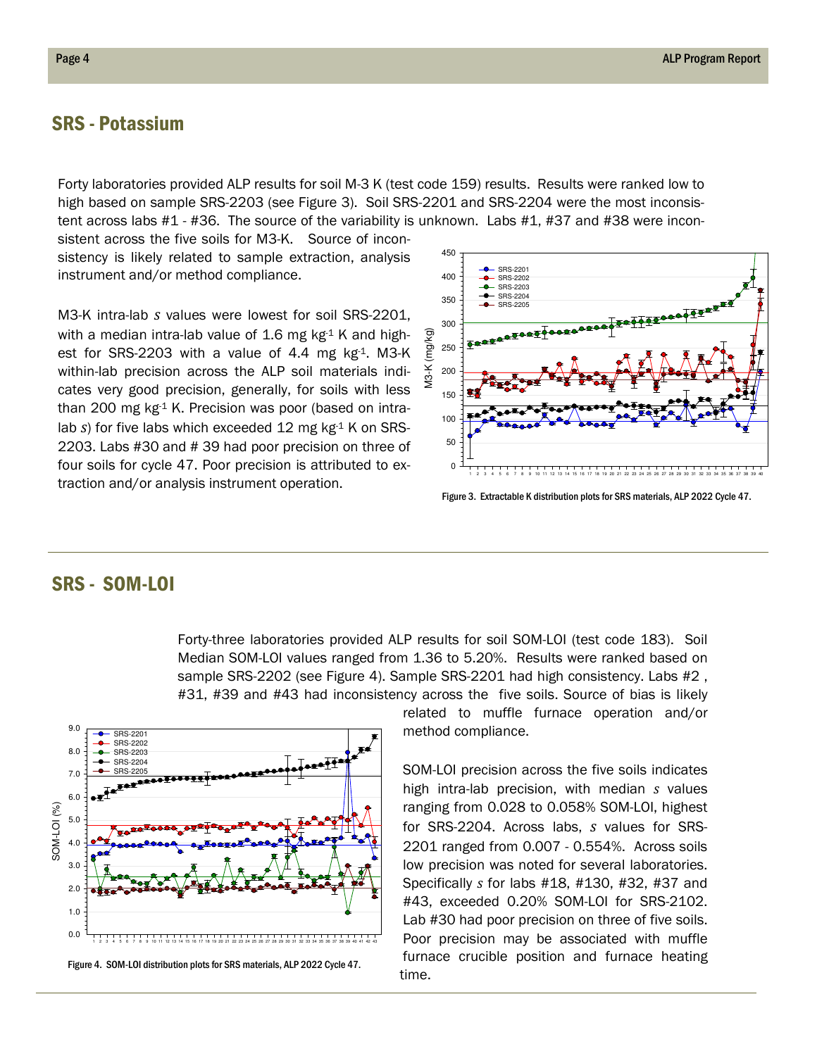#### SRS - Potassium

Forty laboratories provided ALP results for soil M-3 K (test code 159) results. Results were ranked low to high based on sample SRS-2203 (see Figure 3). Soil SRS-2201 and SRS-2204 were the most inconsistent across labs #1 - #36. The source of the variability is unknown. Labs #1, #37 and #38 were incon-

sistent across the five soils for M3-K. Source of inconsistency is likely related to sample extraction, analysis instrument and/or method compliance.

M3-K intra-lab s values were lowest for soil SRS-2201, with a median intra-lab value of 1.6 mg  $kg<sup>-1</sup>$  K and highest for SRS-2203 with a value of 4.4 mg  $kg<sup>-1</sup>$ . M3-K within-lab precision across the ALP soil materials indicates very good precision, generally, for soils with less than 200 mg  $kg<sup>-1</sup>$  K. Precision was poor (based on intralab s) for five labs which exceeded 12 mg  $kg<sup>-1</sup>$  K on SRS-2203. Labs #30 and # 39 had poor precision on three of four soils for cycle 47. Poor precision is attributed to extraction and/or analysis instrument operation.



Figure 3. Extractable K distribution plots for SRS materials, ALP 2022 Cycle 47.

#### SRS - SOM-LOI

Forty-three laboratories provided ALP results for soil SOM-LOI (test code 183). Soil Median SOM-LOI values ranged from 1.36 to 5.20%. Results were ranked based on sample SRS-2202 (see Figure 4). Sample SRS-2201 had high consistency. Labs #2 , #31, #39 and #43 had inconsistency across the five soils. Source of bias is likely



related to muffle furnace operation and/or method compliance.

SOM-LOI precision across the five soils indicates high intra-lab precision, with median  $s$  values ranging from 0.028 to 0.058% SOM-LOI, highest for SRS-2204. Across labs, s values for SRS-2201 ranged from 0.007 - 0.554%. Across soils low precision was noted for several laboratories. Specifically s for labs #18, #130, #32, #37 and #43, exceeded 0.20% SOM-LOI for SRS-2102. Lab #30 had poor precision on three of five soils. Poor precision may be associated with muffle furnace crucible position and furnace heating time.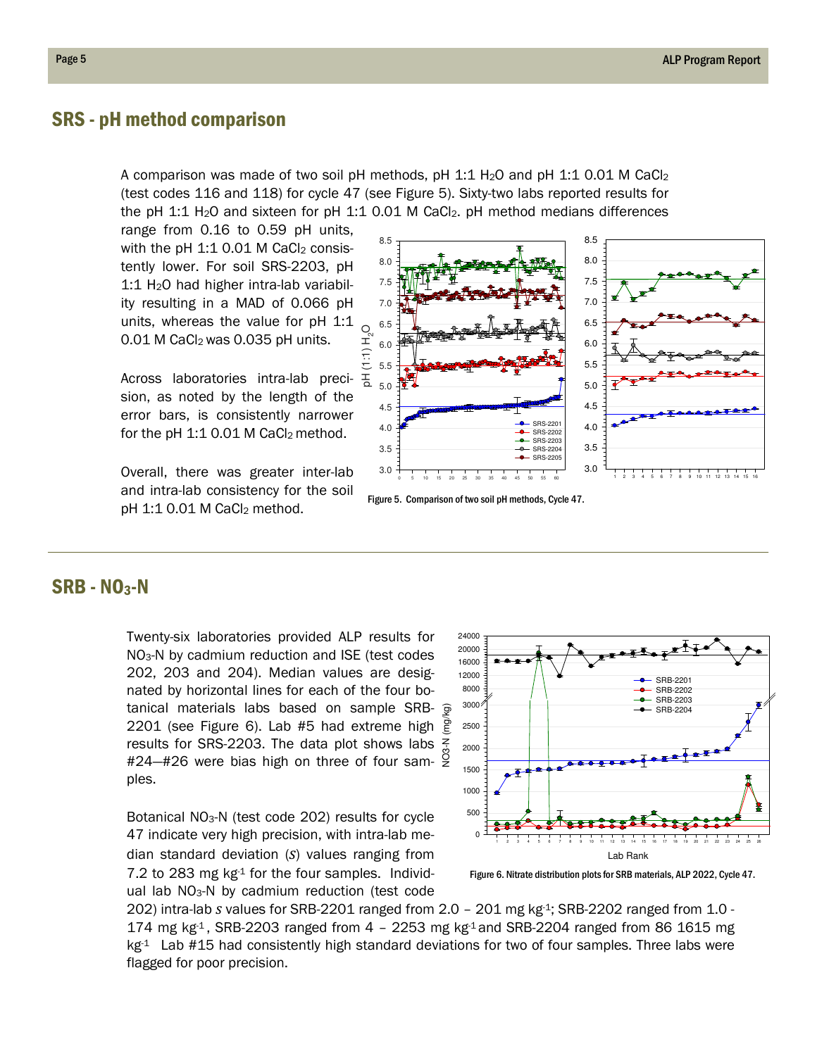#### SRS - pH method comparison

A comparison was made of two soil pH methods, pH 1:1 H<sub>2</sub>O and pH 1:1 0.01 M CaCl<sub>2</sub> (test codes 116 and 118) for cycle 47 (see Figure 5). Sixty-two labs reported results for the pH 1:1 H<sub>2</sub>O and sixteen for pH 1:1 0.01 M CaCl<sub>2</sub>. pH method medians differences

range from 0.16 to 0.59 pH units, with the pH  $1:1$  0.01 M CaCl<sub>2</sub> consistently lower. For soil SRS-2203, pH 1:1 H2O had higher intra-lab variability resulting in a MAD of 0.066 pH units, whereas the value for pH 1:1 0.01 M CaCl<sub>2</sub> was 0.035 pH units.

Across laboratories intra-lab precision, as noted by the length of the error bars, is consistently narrower for the pH  $1:1$  0.01 M CaCl<sub>2</sub> method.

Overall, there was greater inter-lab and intra-lab consistency for the soil  $pH$  1:1 0.01 M CaCl<sub>2</sub> method.



Figure 5. Comparison of two soil pH methods, Cycle 47.

#### SRB - NO3-N

Twenty-six laboratories provided ALP results for NO3-N by cadmium reduction and ISE (test codes 202, 203 and 204). Median values are designated by horizontal lines for each of the four botanical materials labs based on sample SRB-2201 (see Figure 6). Lab #5 had extreme high results for SRS-2203. The data plot shows labs #24—#26 were bias high on three of four samples.

Botanical NO3-N (test code 202) results for cycle 47 indicate very high precision, with intra-lab median standard deviation  $(S)$  values ranging from 7.2 to 283 mg  $kg<sup>-1</sup>$  for the four samples. Individual lab  $NO<sub>3</sub>-N$  by cadmium reduction (test code



Figure 6. Nitrate distribution plots for SRB materials, ALP 2022, Cycle 47.

202) intra-lab s values for SRB-2201 ranged from  $2.0 - 201$  mg kg $4$ ; SRB-2202 ranged from  $1.0 - 1$ 174 mg kg<sup>-1</sup>, SRB-2203 ranged from  $4 - 2253$  mg kg<sup>-1</sup> and SRB-2204 ranged from 86 1615 mg  $kg<sup>1</sup>$  Lab #15 had consistently high standard deviations for two of four samples. Three labs were flagged for poor precision.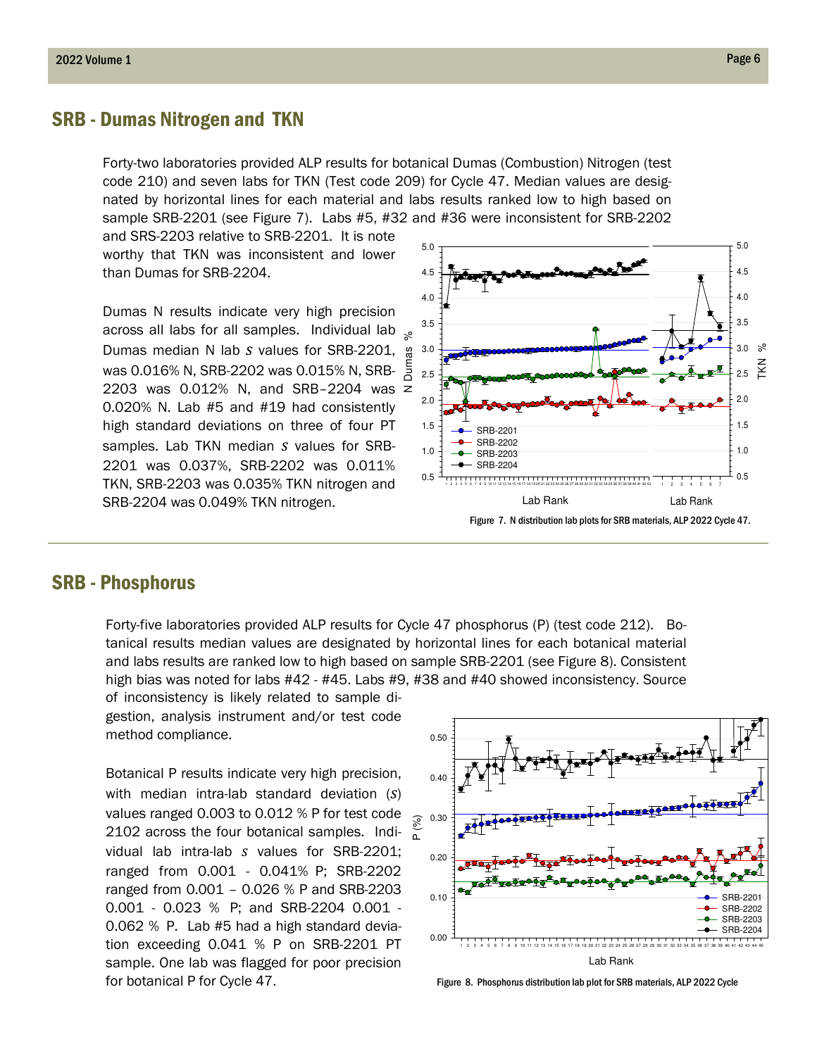#### SRB - Dumas Nitrogen and TKN

Forty-two laboratories provided ALP results for botanical Dumas (Combustion) Nitrogen (test code 210) and seven labs for TKN (Test code 209) for Cycle 47. Median values are designated by horizontal lines for each material and labs results ranked low to high based on sample SRB-2201 (see Figure 7). Labs #5, #32 and #36 were inconsistent for SRB-2202

and SRS-2203 relative to SRB-2201. It is note worthy that TKN was inconsistent and lower than Dumas for SRB-2204.

Dumas N results indicate very high precision across all labs for all samples. Individual lab Dumas median N lab s values for SRB-2201, was 0.016% N, SRB-2202 was 0.015% N, SRB-2203 was 0.012% N, and SRB–2204 was 0.020% N. Lab #5 and #19 had consistently high standard deviations on three of four PT samples. Lab TKN median  $s$  values for SRB-2201 was 0.037%, SRB-2202 was 0.011% TKN, SRB-2203 was 0.035% TKN nitrogen and SRB-2204 was 0.049% TKN nitrogen.



#### SRB - Phosphorus

Forty-five laboratories provided ALP results for Cycle 47 phosphorus (P) (test code 212). Botanical results median values are designated by horizontal lines for each botanical material and labs results are ranked low to high based on sample SRB-2201 (see Figure 8). Consistent high bias was noted for labs #42 - #45. Labs #9, #38 and #40 showed inconsistency. Source of inconsistency is likely related to sample di-

gestion, analysis instrument and/or test code method compliance.

Botanical P results indicate very high precision, with median intra-lab standard deviation  $(S)$ values ranged 0.003 to 0.012 % P for test code 2102 across the four botanical samples. Individual lab intra-lab s values for SRB-2201; ranged from 0.001 - 0.041% P; SRB-2202 ranged from 0.001 – 0.026 % P and SRB-2203 0.001 - 0.023 % P; and SRB-2204 0.001 - 0.062 % P. Lab #5 had a high standard deviation exceeding 0.041 % P on SRB-2201 PT sample. One lab was flagged for poor precision for botanical P for Cycle 47. The state of the Section of Figure 8. Phosphorus distribution lab plot for SRB materials, ALP 2022 Cycle

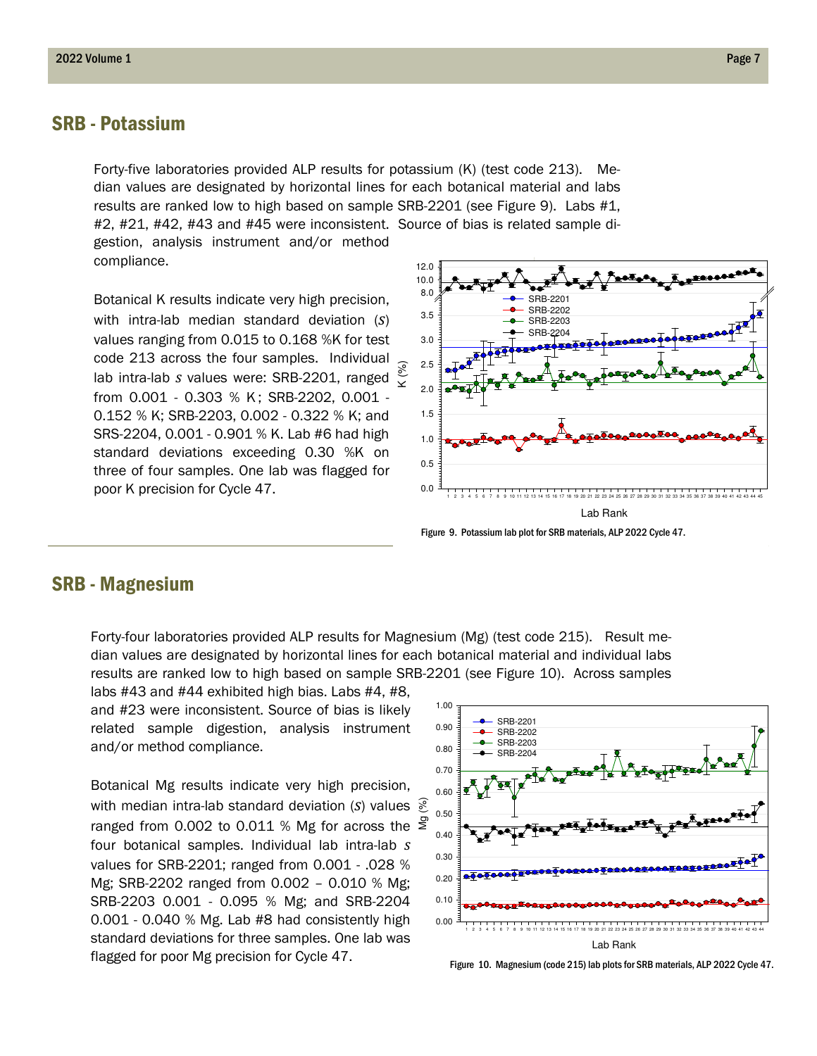#### SRB - Potassium

Forty-five laboratories provided ALP results for potassium (K) (test code 213). Median values are designated by horizontal lines for each botanical material and labs results are ranked low to high based on sample SRB-2201 (see Figure 9). Labs #1, #2, #21, #42, #43 and #45 were inconsistent. Source of bias is related sample digestion, analysis instrument and/or method

compliance.

Botanical K results indicate very high precision, with intra-lab median standard deviation  $(S)$ values ranging from 0.015 to 0.168 %K for test code 213 across the four samples. Individual lab intra-lab s values were: SRB-2201, ranged from 0.001 - 0.303 % K; SRB-2202, 0.001 -0.152 % K; SRB-2203, 0.002 - 0.322 % K; and SRS-2204, 0.001 - 0.901 % K. Lab #6 had high standard deviations exceeding 0.30 %K on three of four samples. One lab was flagged for poor K precision for Cycle 47.



#### SRB - Magnesium

Forty-four laboratories provided ALP results for Magnesium (Mg) (test code 215). Result median values are designated by horizontal lines for each botanical material and individual labs results are ranked low to high based on sample SRB-2201 (see Figure 10). Across samples

labs #43 and #44 exhibited high bias. Labs #4, #8, and #23 were inconsistent. Source of bias is likely related sample digestion, analysis instrument and/or method compliance.

Botanical Mg results indicate very high precision, with median intra-lab standard deviation (S) values  $\frac{1}{\infty}$  ranged from 0.002 to 0.011 % Mg for across the  $\frac{1}{\infty}$ ranged from 0.002 to 0.011 % Mg for across the  $\leq$ four botanical samples. Individual lab intra-lab s values for SRB-2201; ranged from 0.001 - .028 % Mg; SRB-2202 ranged from 0.002 – 0.010 % Mg; SRB-2203 0.001 - 0.095 % Mg; and SRB-2204 0.001 - 0.040 % Mg. Lab #8 had consistently high standard deviations for three samples. One lab was flagged for poor Mg precision for Cycle 47.

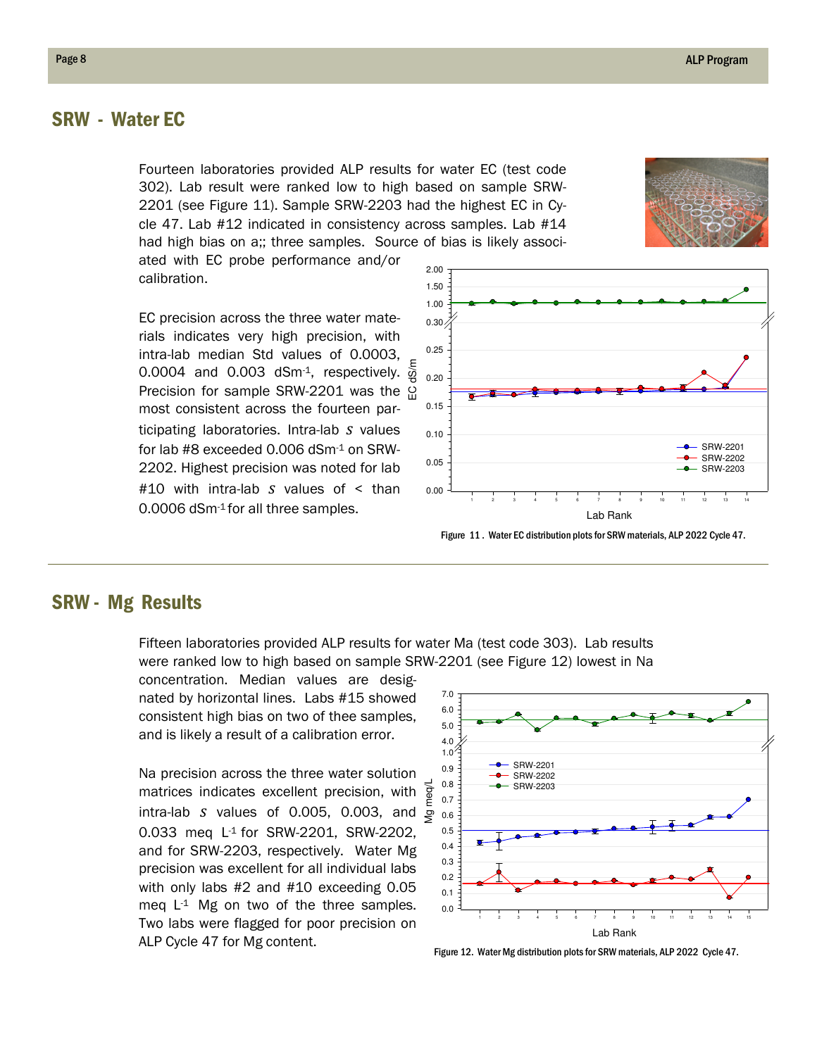#### SRW - Water EC

Fourteen laboratories provided ALP results for water EC (test code 302). Lab result were ranked low to high based on sample SRW-2201 (see Figure 11). Sample SRW-2203 had the highest EC in Cycle 47. Lab #12 indicated in consistency across samples. Lab #14 had high bias on a;; three samples. Source of bias is likely associ-

ated with EC probe performance and/or calibration.

EC precision across the three water materials indicates very high precision, with intra-lab median Std values of 0.0003, 0.0004 and 0.003 dSm<sup>-1</sup>, respectively.  $\frac{5}{9}$ <br>Precision for sample SRW-2201 was the ପ୍ର Precision for sample SRW-2201 was the most consistent across the fourteen participating laboratories. Intra-lab  $s$  values for lab #8 exceeded 0.006 dSm-1 on SRW-2202. Highest precision was noted for lab #10 with intra-lab s values of < than 0.0006 dSm-1 for all three samples.



#### SRW - Mg Results

Fifteen laboratories provided ALP results for water Ma (test code 303). Lab results were ranked low to high based on sample SRW-2201 (see Figure 12) lowest in Na

concentration. Median values are designated by horizontal lines. Labs #15 showed consistent high bias on two of thee samples, and is likely a result of a calibration error.

Na precision across the three water solution matrices indicates excellent precision, with intra-lab s values of 0.005, 0.003, and 0.033 meq L-1 for SRW-2201, SRW-2202, and for SRW-2203, respectively. Water Mg precision was excellent for all individual labs with only labs #2 and #10 exceeding 0.05 meq  $L^1$  Mg on two of the three samples. Two labs were flagged for poor precision on ALP Cycle 47 for Mg content.



Figure 12. Water Mg distribution plots for SRW materials, ALP 2022 Cycle 47.